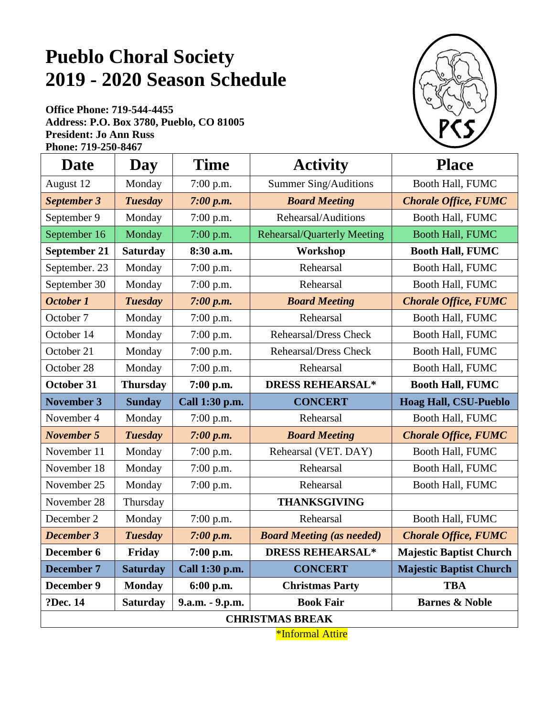## **Pueblo Choral Society 2019 - 2020 Season Schedule**

**Office Phone: 719-544-4455 Address: P.O. Box 3780, Pueblo, CO 81005 President: Jo Ann Russ Phone: 719-250-8467** 



| <b>Date</b>         | Day             | <b>Time</b>     | <b>Activity</b>                    | <b>Place</b>                   |
|---------------------|-----------------|-----------------|------------------------------------|--------------------------------|
| August 12           | Monday          | 7:00 p.m.       | Summer Sing/Auditions              | Booth Hall, FUMC               |
| September 3         | <b>Tuesday</b>  | 7:00 p.m.       | <b>Board Meeting</b>               | <b>Chorale Office, FUMC</b>    |
| September 9         | Monday          | 7:00 p.m.       | Rehearsal/Auditions                | Booth Hall, FUMC               |
| September 16        | Monday          | 7:00 p.m.       | <b>Rehearsal/Quarterly Meeting</b> | Booth Hall, FUMC               |
| <b>September 21</b> | <b>Saturday</b> | 8:30 a.m.       | Workshop                           | <b>Booth Hall, FUMC</b>        |
| September. 23       | Monday          | $7:00$ p.m.     | Rehearsal                          | Booth Hall, FUMC               |
| September 30        | Monday          | 7:00 p.m.       | Rehearsal                          | Booth Hall, FUMC               |
| October 1           | <b>Tuesday</b>  | 7:00 p.m.       | <b>Board Meeting</b>               | <b>Chorale Office, FUMC</b>    |
| October 7           | Monday          | 7:00 p.m.       | Rehearsal                          | Booth Hall, FUMC               |
| October 14          | Monday          | 7:00 p.m.       | <b>Rehearsal/Dress Check</b>       | Booth Hall, FUMC               |
| October 21          | Monday          | 7:00 p.m.       | Rehearsal/Dress Check              | Booth Hall, FUMC               |
| October 28          | Monday          | 7:00 p.m.       | Rehearsal                          | Booth Hall, FUMC               |
| <b>October 31</b>   | <b>Thursday</b> | 7:00 p.m.       | <b>DRESS REHEARSAL*</b>            | <b>Booth Hall, FUMC</b>        |
| <b>November 3</b>   | <b>Sunday</b>   | Call 1:30 p.m.  | <b>CONCERT</b>                     | <b>Hoag Hall, CSU-Pueblo</b>   |
|                     |                 |                 |                                    |                                |
| November 4          | Monday          | 7:00 p.m.       | Rehearsal                          | Booth Hall, FUMC               |
| <b>November 5</b>   | <b>Tuesday</b>  | 7:00 p.m.       | <b>Board Meeting</b>               | <b>Chorale Office, FUMC</b>    |
| November 11         | Monday          | 7:00 p.m.       | Rehearsal (VET. DAY)               | Booth Hall, FUMC               |
| November 18         | Monday          | 7:00 p.m.       | Rehearsal                          | Booth Hall, FUMC               |
| November 25         | Monday          | 7:00 p.m.       | Rehearsal                          | Booth Hall, FUMC               |
| November 28         | Thursday        |                 | <b>THANKSGIVING</b>                |                                |
| December 2          | Monday          | 7:00 p.m.       | Rehearsal                          | Booth Hall, FUMC               |
| <b>December 3</b>   | <b>Tuesday</b>  | 7:00 p.m.       | <b>Board Meeting (as needed)</b>   | <b>Chorale Office, FUMC</b>    |
| December 6          | Friday          | 7:00 p.m.       | <b>DRESS REHEARSAL*</b>            | <b>Majestic Baptist Church</b> |
| <b>December 7</b>   | <b>Saturday</b> | Call 1:30 p.m.  | <b>CONCERT</b>                     | <b>Majestic Baptist Church</b> |
| December 9          | <b>Monday</b>   | $6:00$ p.m.     | <b>Christmas Party</b>             | <b>TBA</b>                     |
| ?Dec. 14            | <b>Saturday</b> | 9.a.m. - 9.p.m. | <b>Book Fair</b>                   | <b>Barnes &amp; Noble</b>      |

\*Informal Attire